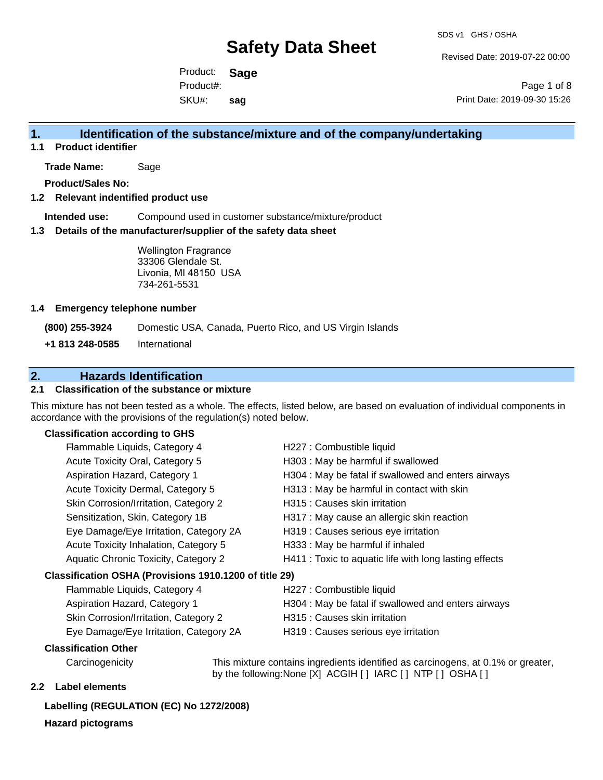Revised Date: 2019-07-22 00:00

Product: **Sage** SKU#: Product#: **sag**

Page 1 of 8 Print Date: 2019-09-30 15:26

### **1. Identification of the substance/mixture and of the company/undertaking**

**1.1 Product identifier**

**Trade Name:** Sage

**Product/Sales No:**

#### **1.2 Relevant indentified product use**

**Intended use:** Compound used in customer substance/mixture/product

#### **1.3 Details of the manufacturer/supplier of the safety data sheet**

Wellington Fragrance 33306 Glendale St. Livonia, MI 48150 USA 734-261-5531

#### **1.4 Emergency telephone number**

**(800) 255-3924** Domestic USA, Canada, Puerto Rico, and US Virgin Islands

**+1 813 248-0585** International

### **2. Hazards Identification**

#### **2.1 Classification of the substance or mixture**

This mixture has not been tested as a whole. The effects, listed below, are based on evaluation of individual components in accordance with the provisions of the regulation(s) noted below.

#### **Classification according to GHS**

|                                                        | Flammable Liquids, Category 4          | H227 : Combustible liquid                              |  |
|--------------------------------------------------------|----------------------------------------|--------------------------------------------------------|--|
|                                                        | Acute Toxicity Oral, Category 5        | H303 : May be harmful if swallowed                     |  |
|                                                        | Aspiration Hazard, Category 1          | H304 : May be fatal if swallowed and enters airways    |  |
|                                                        | Acute Toxicity Dermal, Category 5      | H313 : May be harmful in contact with skin             |  |
|                                                        | Skin Corrosion/Irritation, Category 2  | H315 : Causes skin irritation                          |  |
|                                                        | Sensitization, Skin, Category 1B       | H317 : May cause an allergic skin reaction             |  |
|                                                        | Eye Damage/Eye Irritation, Category 2A | H319 : Causes serious eye irritation                   |  |
|                                                        | Acute Toxicity Inhalation, Category 5  | H333: May be harmful if inhaled                        |  |
|                                                        | Aquatic Chronic Toxicity, Category 2   | H411 : Toxic to aquatic life with long lasting effects |  |
| Classification OSHA (Provisions 1910.1200 of title 29) |                                        |                                                        |  |
|                                                        | Flammable Liquids, Category 4          | H227 : Combustible liquid                              |  |
|                                                        | Aspiration Hazard, Category 1          | H304 : May be fatal if swallowed and enters airways    |  |

- Skin Corrosion/Irritation, Category 2 **H315** : Causes skin irritation
- 
- Eye Damage/Eye Irritation, Category 2A H319 : Causes serious eye irritation
- 

#### **Classification Other**

Carcinogenicity This mixture contains ingredients identified as carcinogens, at 0.1% or greater, by the following:None [X] ACGIH [ ] IARC [ ] NTP [ ] OSHA [ ]

#### **2.2 Label elements**

### **Labelling (REGULATION (EC) No 1272/2008)**

**Hazard pictograms**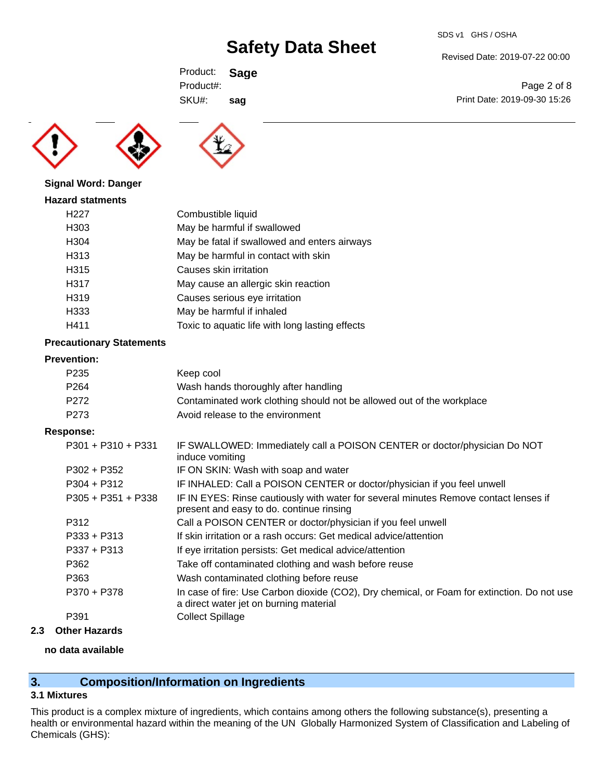Revised Date: 2019-07-22 00:00

Print Date: 2019-09-30 15:26

Page 2 of 8

Product: **Sage** SKU#: Product#: **sag**





#### **Signal Word: Danger**

| <b>Hazard statments</b> |                                                 |
|-------------------------|-------------------------------------------------|
| H <sub>22</sub> 7       | Combustible liquid                              |
| H303                    | May be harmful if swallowed                     |
| H <sub>304</sub>        | May be fatal if swallowed and enters airways    |
| H313                    | May be harmful in contact with skin             |
| H315                    | Causes skin irritation                          |
| H317                    | May cause an allergic skin reaction             |
| H <sub>319</sub>        | Causes serious eye irritation                   |
| H333                    | May be harmful if inhaled                       |
| H411                    | Toxic to aquatic life with long lasting effects |

#### **Precautionary Statements**

#### **Prevention:**

| P235 | Keep cool                                                             |
|------|-----------------------------------------------------------------------|
| P264 | Wash hands thoroughly after handling                                  |
| P272 | Contaminated work clothing should not be allowed out of the workplace |
| P273 | Avoid release to the environment                                      |
|      |                                                                       |

#### **Response:**

| $P301 + P310 + P331$ | IF SWALLOWED: Immediately call a POISON CENTER or doctor/physician Do NOT<br>induce vomiting                                          |
|----------------------|---------------------------------------------------------------------------------------------------------------------------------------|
| $P302 + P352$        | IF ON SKIN: Wash with soap and water                                                                                                  |
| $P304 + P312$        | IF INHALED: Call a POISON CENTER or doctor/physician if you feel unwell                                                               |
| $P305 + P351 + P338$ | IF IN EYES: Rinse cautiously with water for several minutes Remove contact lenses if<br>present and easy to do. continue rinsing      |
| P312                 | Call a POISON CENTER or doctor/physician if you feel unwell                                                                           |
| $P333 + P313$        | If skin irritation or a rash occurs: Get medical advice/attention                                                                     |
| $P337 + P313$        | If eye irritation persists: Get medical advice/attention                                                                              |
| P362                 | Take off contaminated clothing and wash before reuse                                                                                  |
| P363                 | Wash contaminated clothing before reuse                                                                                               |
| P370 + P378          | In case of fire: Use Carbon dioxide (CO2), Dry chemical, or Foam for extinction. Do not use<br>a direct water jet on burning material |
| P391                 | <b>Collect Spillage</b>                                                                                                               |
|                      |                                                                                                                                       |

#### **2.3 Other Hazards**

#### **no data available**

### **3. Composition/Information on Ingredients**

### **3.1 Mixtures**

This product is a complex mixture of ingredients, which contains among others the following substance(s), presenting a health or environmental hazard within the meaning of the UN Globally Harmonized System of Classification and Labeling of Chemicals (GHS):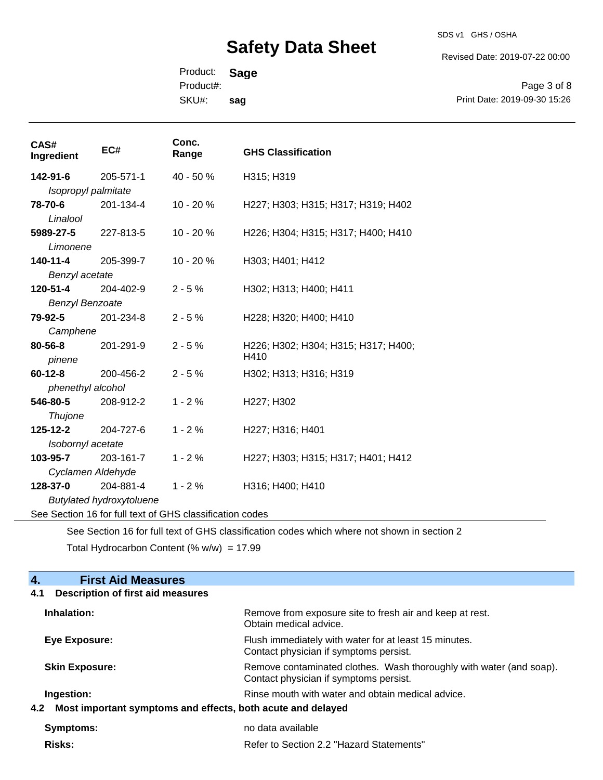SDS v1 GHS / OSHA

Revised Date: 2019-07-22 00:00

Product: **Sage** Product#:

SKU#: **sag**

Page 3 of 8 Print Date: 2019-09-30 15:26

| CAS#<br>Ingredient                                       | EC#       | Conc.<br>Range | <b>GHS Classification</b>                   |
|----------------------------------------------------------|-----------|----------------|---------------------------------------------|
| 142-91-6                                                 | 205-571-1 | 40 - 50 %      | H315; H319                                  |
| Isopropyl palmitate                                      |           |                |                                             |
| 78-70-6<br>Linalool                                      | 201-134-4 | 10 - 20 %      | H227; H303; H315; H317; H319; H402          |
| 5989-27-5                                                | 227-813-5 | 10 - 20 %      | H226; H304; H315; H317; H400; H410          |
| Limonene                                                 |           |                |                                             |
| 140-11-4                                                 | 205-399-7 | 10 - 20 %      | H303; H401; H412                            |
| Benzyl acetate                                           |           |                |                                             |
| 120-51-4                                                 | 204-402-9 | $2 - 5%$       | H302; H313; H400; H411                      |
| <b>Benzyl Benzoate</b>                                   |           |                |                                             |
| 79-92-5                                                  | 201-234-8 | $2 - 5%$       | H228; H320; H400; H410                      |
| Camphene                                                 |           |                |                                             |
| 80-56-8<br>pinene                                        | 201-291-9 | $2 - 5%$       | H226; H302; H304; H315; H317; H400;<br>H410 |
| $60 - 12 - 8$                                            | 200-456-2 | $2 - 5%$       | H302; H313; H316; H319                      |
| phenethyl alcohol                                        |           |                |                                             |
| 546-80-5                                                 | 208-912-2 | $1 - 2%$       | H227; H302                                  |
| <b>Thujone</b>                                           |           |                |                                             |
| $125 - 12 - 2$                                           | 204-727-6 | $1 - 2%$       | H227; H316; H401                            |
| Isobornyl acetate                                        |           |                |                                             |
| 103-95-7                                                 | 203-161-7 | $1 - 2%$       | H227; H303; H315; H317; H401; H412          |
| Cyclamen Aldehyde                                        |           |                |                                             |
| 128-37-0                                                 | 204-881-4 | $1 - 2%$       | H316; H400; H410                            |
| <b>Butylated hydroxytoluene</b>                          |           |                |                                             |
| See Section 16 for full text of GHS classification codes |           |                |                                             |

See Section 16 for full text of GHS classification codes which where not shown in section 2

Total Hydrocarbon Content  $(% \mathcal{O}_{N})$  = 17.99

| <b>Description of first aid measures</b><br>4.1<br>Inhalation:<br>Remove from exposure site to fresh air and keep at rest.<br>Obtain medical advice.<br>Flush immediately with water for at least 15 minutes.<br>Eye Exposure:<br>Contact physician if symptoms persist.<br><b>Skin Exposure:</b><br>Remove contaminated clothes. Wash thoroughly with water (and soap).<br>Contact physician if symptoms persist.<br>Rinse mouth with water and obtain medical advice.<br>Ingestion:<br>Most important symptoms and effects, both acute and delayed<br>no data available<br>Symptoms:<br>Refer to Section 2.2 "Hazard Statements"<br>Risks: | <b>First Aid Measures</b><br>4. |  |  |
|----------------------------------------------------------------------------------------------------------------------------------------------------------------------------------------------------------------------------------------------------------------------------------------------------------------------------------------------------------------------------------------------------------------------------------------------------------------------------------------------------------------------------------------------------------------------------------------------------------------------------------------------|---------------------------------|--|--|
|                                                                                                                                                                                                                                                                                                                                                                                                                                                                                                                                                                                                                                              |                                 |  |  |
|                                                                                                                                                                                                                                                                                                                                                                                                                                                                                                                                                                                                                                              |                                 |  |  |
|                                                                                                                                                                                                                                                                                                                                                                                                                                                                                                                                                                                                                                              |                                 |  |  |
|                                                                                                                                                                                                                                                                                                                                                                                                                                                                                                                                                                                                                                              |                                 |  |  |
|                                                                                                                                                                                                                                                                                                                                                                                                                                                                                                                                                                                                                                              |                                 |  |  |
|                                                                                                                                                                                                                                                                                                                                                                                                                                                                                                                                                                                                                                              | 4.2                             |  |  |
|                                                                                                                                                                                                                                                                                                                                                                                                                                                                                                                                                                                                                                              |                                 |  |  |
|                                                                                                                                                                                                                                                                                                                                                                                                                                                                                                                                                                                                                                              |                                 |  |  |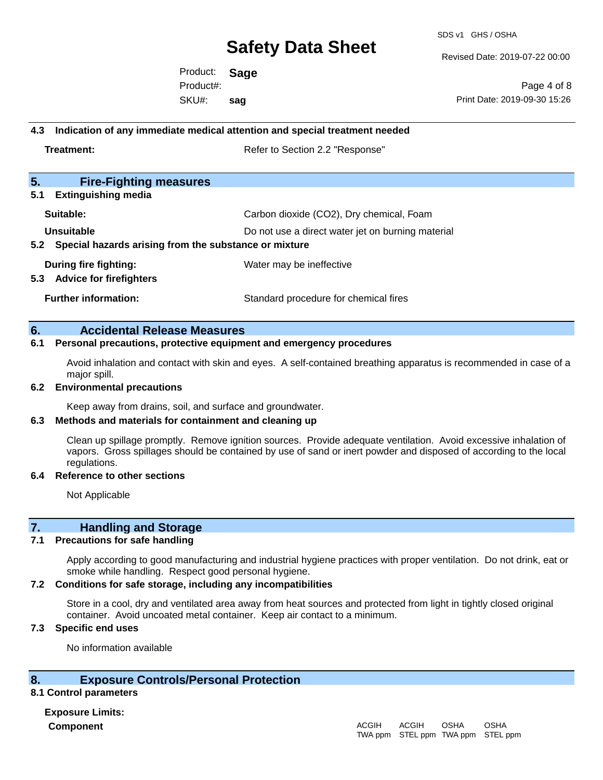SDS v1 GHS / OSHA

Revised Date: 2019-07-22 00:00

Product: **Sage** SKU#: Product#: **sag**

Page 4 of 8 Print Date: 2019-09-30 15:26

## **4.3 Indication of any immediate medical attention and special treatment needed Treatment:** Treatment: Treatment: Refer to Section 2.2 "Response"

| 5.<br><b>Fire-Fighting measures</b>                       |                                                   |  |
|-----------------------------------------------------------|---------------------------------------------------|--|
| <b>Extinguishing media</b><br>5.1                         |                                                   |  |
| Suitable:                                                 | Carbon dioxide (CO2), Dry chemical, Foam          |  |
| Unsuitable                                                | Do not use a direct water jet on burning material |  |
| 5.2 Special hazards arising from the substance or mixture |                                                   |  |
| During fire fighting:                                     | Water may be ineffective                          |  |
| <b>Advice for firefighters</b><br>5.3                     |                                                   |  |
| <b>Further information:</b>                               | Standard procedure for chemical fires             |  |

#### **6. Accidental Release Measures**

#### **6.1 Personal precautions, protective equipment and emergency procedures**

Avoid inhalation and contact with skin and eyes. A self-contained breathing apparatus is recommended in case of a major spill.

#### **6.2 Environmental precautions**

Keep away from drains, soil, and surface and groundwater.

#### **6.3 Methods and materials for containment and cleaning up**

Clean up spillage promptly. Remove ignition sources. Provide adequate ventilation. Avoid excessive inhalation of vapors. Gross spillages should be contained by use of sand or inert powder and disposed of according to the local regulations.

#### **6.4 Reference to other sections**

Not Applicable

### **7. Handling and Storage**

#### **7.1 Precautions for safe handling**

Apply according to good manufacturing and industrial hygiene practices with proper ventilation. Do not drink, eat or smoke while handling. Respect good personal hygiene.

#### **7.2 Conditions for safe storage, including any incompatibilities**

Store in a cool, dry and ventilated area away from heat sources and protected from light in tightly closed original container. Avoid uncoated metal container. Keep air contact to a minimum.

#### **7.3 Specific end uses**

No information available

#### **8. Exposure Controls/Personal Protection**

#### **8.1 Control parameters**

**Exposure Limits: Component** ACGIH

#### TWA ppm STEL ppm TWA ppm STEL ppmACGIH OSHA OSHA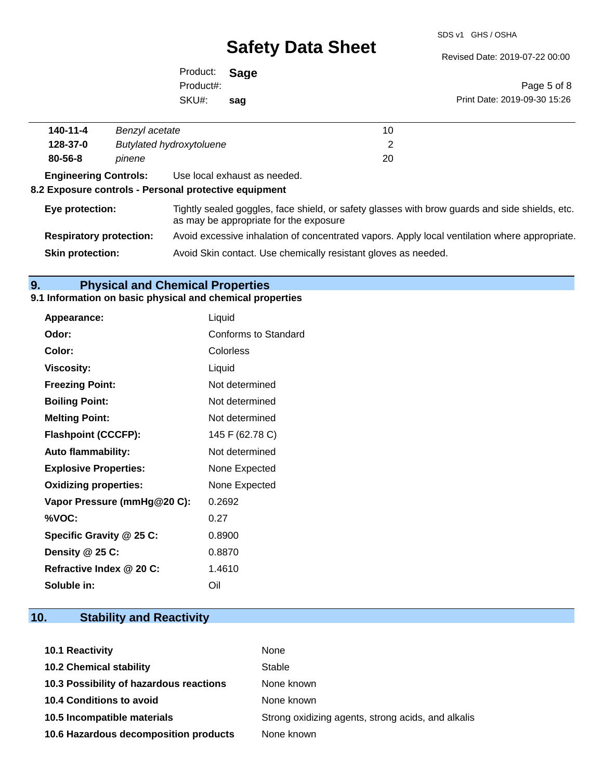SDS v1 GHS / OSHA

Revised Date: 2019-07-22 00:00

Product: **Sage** SKU#: Product#: **sag**

Page 5 of 8 Print Date: 2019-09-30 15:26

| 140-11-4                                                                                                                                                                                                                                                                       | Benzyl acetate                  | 10 |
|--------------------------------------------------------------------------------------------------------------------------------------------------------------------------------------------------------------------------------------------------------------------------------|---------------------------------|----|
| 128-37-0                                                                                                                                                                                                                                                                       | <b>Butylated hydroxytoluene</b> |    |
| 80-56-8                                                                                                                                                                                                                                                                        | pinene                          | 20 |
| <b>Experience of the Community Community</b><br>in the contract of the contract of the contract of the contract of the contract of the contract of the contract of the contract of the contract of the contract of the contract of the contract of the contract of the contrac |                                 |    |

**Engineering Controls:** Use local exhaust as needed.

#### **8.2 Exposure controls - Personal protective equipment**

 $\overline{a}$ 

| Eye protection:                | Tightly sealed goggles, face shield, or safety glasses with brow guards and side shields, etc.<br>as may be appropriate for the exposure |
|--------------------------------|------------------------------------------------------------------------------------------------------------------------------------------|
| <b>Respiratory protection:</b> | Avoid excessive inhalation of concentrated vapors. Apply local ventilation where appropriate.                                            |
| <b>Skin protection:</b>        | Avoid Skin contact. Use chemically resistant gloves as needed.                                                                           |

### **9. Physical and Chemical Properties**

#### **9.1 Information on basic physical and chemical properties**

| <b>Appearance:</b>           | Liquid               |
|------------------------------|----------------------|
| Odor:                        | Conforms to Standard |
| Color:                       | Colorless            |
| <b>Viscosity:</b>            | Liquid               |
| <b>Freezing Point:</b>       | Not determined       |
| <b>Boiling Point:</b>        | Not determined       |
| <b>Melting Point:</b>        | Not determined       |
| <b>Flashpoint (CCCFP):</b>   | 145 F (62.78 C)      |
| <b>Auto flammability:</b>    | Not determined       |
| <b>Explosive Properties:</b> | None Expected        |
| <b>Oxidizing properties:</b> | None Expected        |
| Vapor Pressure (mmHg@20 C):  | 0.2692               |
| %VOC:                        | 0.27                 |
| Specific Gravity @ 25 C:     | 0.8900               |
| Density @ 25 C:              | 0.8870               |
| Refractive Index @ 20 C:     | 1.4610               |
| Soluble in:                  | Oil                  |

## **10. Stability and Reactivity**

| 10.1 Reactivity                         | None                                               |
|-----------------------------------------|----------------------------------------------------|
| <b>10.2 Chemical stability</b>          | Stable                                             |
| 10.3 Possibility of hazardous reactions | None known                                         |
| <b>10.4 Conditions to avoid</b>         | None known                                         |
| 10.5 Incompatible materials             | Strong oxidizing agents, strong acids, and alkalis |
| 10.6 Hazardous decomposition products   | None known                                         |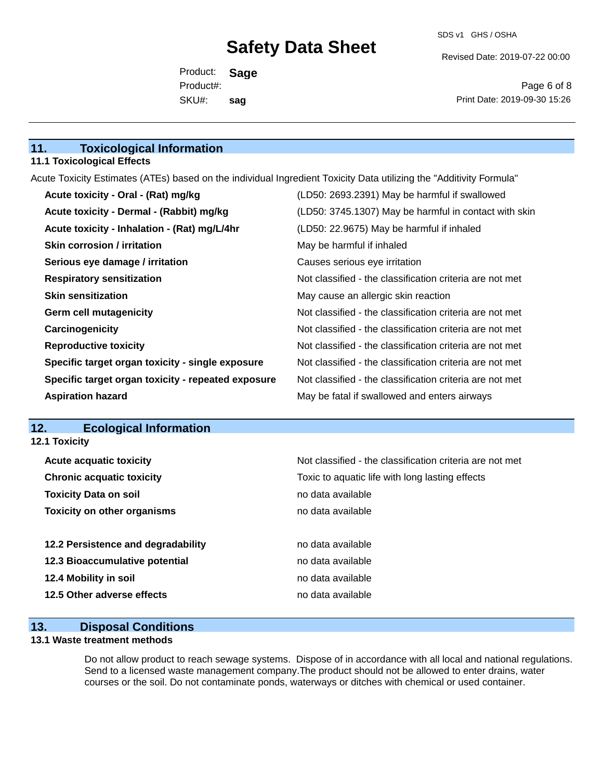Revised Date: 2019-07-22 00:00

Product: **Sage** SKU#: Product#: **sag**

Page 6 of 8 Print Date: 2019-09-30 15:26

### **11. Toxicological Information**

#### **11.1 Toxicological Effects**

Acute Toxicity Estimates (ATEs) based on the individual Ingredient Toxicity Data utilizing the "Additivity Formula"

| Acute toxicity - Oral - (Rat) mg/kg                | (LD50: 2693.2391) May be harmful if swallowed            |
|----------------------------------------------------|----------------------------------------------------------|
| Acute toxicity - Dermal - (Rabbit) mg/kg           | (LD50: 3745.1307) May be harmful in contact with skin    |
| Acute toxicity - Inhalation - (Rat) mg/L/4hr       | (LD50: 22.9675) May be harmful if inhaled                |
| <b>Skin corrosion / irritation</b>                 | May be harmful if inhaled                                |
| Serious eye damage / irritation                    | Causes serious eye irritation                            |
| <b>Respiratory sensitization</b>                   | Not classified - the classification criteria are not met |
| <b>Skin sensitization</b>                          | May cause an allergic skin reaction                      |
| <b>Germ cell mutagenicity</b>                      | Not classified - the classification criteria are not met |
| Carcinogenicity                                    | Not classified - the classification criteria are not met |
| <b>Reproductive toxicity</b>                       | Not classified - the classification criteria are not met |
| Specific target organ toxicity - single exposure   | Not classified - the classification criteria are not met |
| Specific target organ toxicity - repeated exposure | Not classified - the classification criteria are not met |
| <b>Aspiration hazard</b>                           | May be fatal if swallowed and enters airways             |

### **12. Ecological Information**

**12.1 Toxicity**

| <b>Acute acquatic toxicity</b>     | Not classified - the classification criteria are not met |
|------------------------------------|----------------------------------------------------------|
| <b>Chronic acquatic toxicity</b>   | Toxic to aquatic life with long lasting effects          |
| <b>Toxicity Data on soil</b>       | no data available                                        |
| <b>Toxicity on other organisms</b> | no data available                                        |
|                                    |                                                          |
| 12.2 Persistence and degradability | no data available                                        |
| 12.3 Bioaccumulative potential     | no data available                                        |
| 12.4 Mobility in soil              | no data available                                        |
| 12.5 Other adverse effects         | no data available                                        |
|                                    |                                                          |

### **13. Disposal Conditions**

#### **13.1 Waste treatment methods**

Do not allow product to reach sewage systems. Dispose of in accordance with all local and national regulations. Send to a licensed waste management company.The product should not be allowed to enter drains, water courses or the soil. Do not contaminate ponds, waterways or ditches with chemical or used container.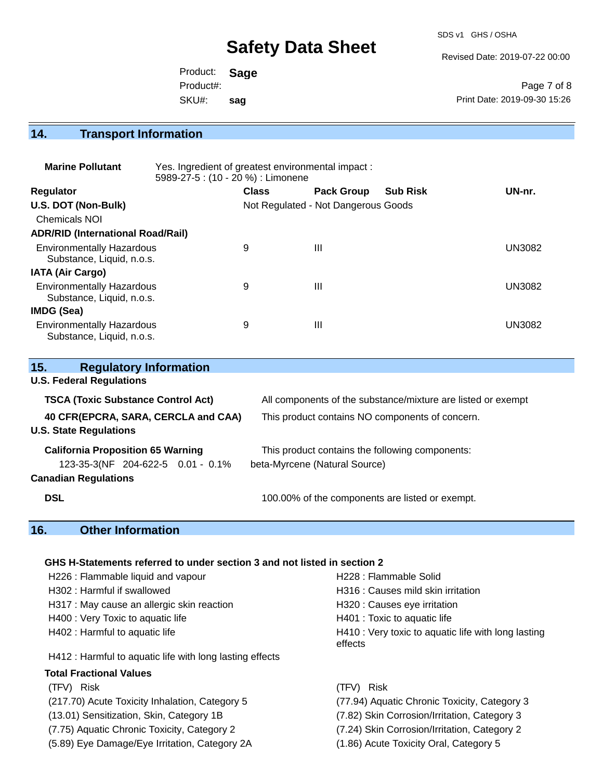SDS v1 GHS / OSHA

Revised Date: 2019-07-22 00:00

Product: **Sage** SKU#: Product#: **sag**

Page 7 of 8 Print Date: 2019-09-30 15:26

## **14. Transport Information**

| <b>Marine Pollutant</b>                                       | Yes. Ingredient of greatest environmental impact:<br>5989-27-5 : (10 - 20 %) : Limonene |              |                                     |                 |               |  |
|---------------------------------------------------------------|-----------------------------------------------------------------------------------------|--------------|-------------------------------------|-----------------|---------------|--|
| <b>Regulator</b>                                              |                                                                                         | <b>Class</b> | <b>Pack Group</b>                   | <b>Sub Risk</b> | UN-nr.        |  |
| U.S. DOT (Non-Bulk)                                           |                                                                                         |              | Not Regulated - Not Dangerous Goods |                 |               |  |
| <b>Chemicals NOI</b>                                          |                                                                                         |              |                                     |                 |               |  |
| <b>ADR/RID (International Road/Rail)</b>                      |                                                                                         |              |                                     |                 |               |  |
| <b>Environmentally Hazardous</b><br>Substance, Liquid, n.o.s. |                                                                                         | 9            | $\mathbf{III}$                      |                 | <b>UN3082</b> |  |
| <b>IATA (Air Cargo)</b>                                       |                                                                                         |              |                                     |                 |               |  |
| <b>Environmentally Hazardous</b><br>Substance, Liquid, n.o.s. |                                                                                         | 9            | $\mathbf{III}$                      |                 | <b>UN3082</b> |  |
| <b>IMDG (Sea)</b>                                             |                                                                                         |              |                                     |                 |               |  |
| <b>Environmentally Hazardous</b><br>Substance, Liquid, n.o.s. |                                                                                         | 9            | $\mathbf{III}$                      |                 | <b>UN3082</b> |  |

| <b>Regulatory Information</b><br>15.                                 |                                                              |
|----------------------------------------------------------------------|--------------------------------------------------------------|
| <b>U.S. Federal Regulations</b>                                      |                                                              |
| <b>TSCA (Toxic Substance Control Act)</b>                            | All components of the substance/mixture are listed or exempt |
| 40 CFR(EPCRA, SARA, CERCLA and CAA)<br><b>U.S. State Regulations</b> | This product contains NO components of concern.              |
| <b>California Proposition 65 Warning</b>                             | This product contains the following components:              |
| 123-35-3(NF 204-622-5 0.01 - 0.1%                                    | beta-Myrcene (Natural Source)                                |
| <b>Canadian Regulations</b>                                          |                                                              |
| <b>DSL</b>                                                           | 100.00% of the components are listed or exempt.              |

## **16. Other Information**

#### **GHS H-Statements referred to under section 3 and not listed in section 2**

| H226 : Flammable liquid and vapour                       | H228 : Flammable Solid                                         |
|----------------------------------------------------------|----------------------------------------------------------------|
| H302 : Harmful if swallowed                              | H316 : Causes mild skin irritation                             |
| H317 : May cause an allergic skin reaction               | H320 : Causes eye irritation                                   |
| H400 : Very Toxic to aquatic life                        | H401 : Toxic to aquatic life                                   |
| H402 : Harmful to aquatic life                           | H410 : Very toxic to aquatic life with long lasting<br>effects |
| H412 : Harmful to aquatic life with long lasting effects |                                                                |
| <b>Total Fractional Values</b>                           |                                                                |
| (TFV) Risk                                               | <b>Risk</b><br>(TFV).                                          |
| (217.70) Acute Toxicity Inhalation, Category 5           | (77.94) Aquatic Chronic Toxicity, Category 3                   |
| (13.01) Sensitization, Skin, Category 1B                 | (7.82) Skin Corrosion/Irritation, Category 3                   |
| (7.75) Aquatic Chronic Toxicity, Category 2              | (7.24) Skin Corrosion/Irritation, Category 2                   |
| (5.89) Eye Damage/Eye Irritation, Category 2A            | (1.86) Acute Toxicity Oral, Category 5                         |